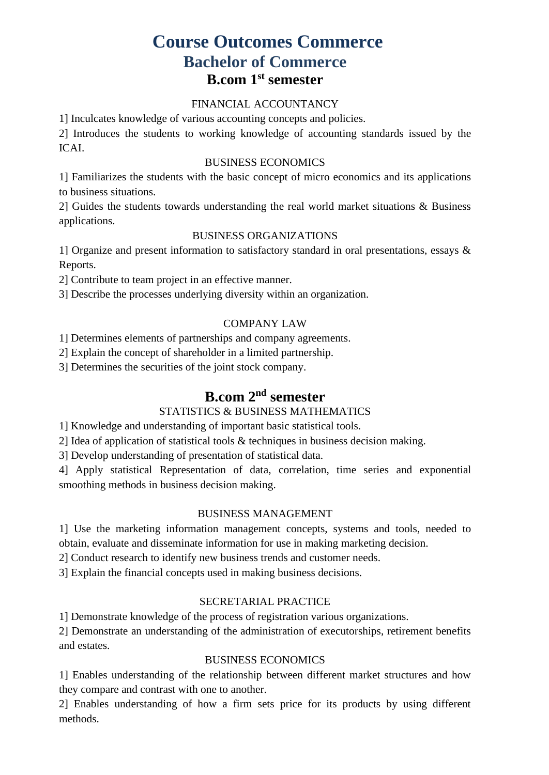# **Course Outcomes Commerce Bachelor of Commerce B.com 1st semester**

# FINANCIAL ACCOUNTANCY

1] Inculcates knowledge of various accounting concepts and policies.

2] Introduces the students to working knowledge of accounting standards issued by the ICAI.

### BUSINESS ECONOMICS

1] Familiarizes the students with the basic concept of micro economics and its applications to business situations.

2] Guides the students towards understanding the real world market situations & Business applications.

### BUSINESS ORGANIZATIONS

1] Organize and present information to satisfactory standard in oral presentations, essays & Reports.

2] Contribute to team project in an effective manner.

3] Describe the processes underlying diversity within an organization.

# COMPANY LAW

1] Determines elements of partnerships and company agreements.

2] Explain the concept of shareholder in a limited partnership.

3] Determines the securities of the joint stock company.

# **B.com 2nd semester**

# STATISTICS & BUSINESS MATHEMATICS

1] Knowledge and understanding of important basic statistical tools.

2] Idea of application of statistical tools & techniques in business decision making.

3] Develop understanding of presentation of statistical data.

4] Apply statistical Representation of data, correlation, time series and exponential smoothing methods in business decision making.

# BUSINESS MANAGEMENT

1] Use the marketing information management concepts, systems and tools, needed to obtain, evaluate and disseminate information for use in making marketing decision.

2] Conduct research to identify new business trends and customer needs.

3] Explain the financial concepts used in making business decisions.

# SECRETARIAL PRACTICE

1] Demonstrate knowledge of the process of registration various organizations.

2] Demonstrate an understanding of the administration of executorships, retirement benefits and estates.

# BUSINESS ECONOMICS

1] Enables understanding of the relationship between different market structures and how they compare and contrast with one to another.

2] Enables understanding of how a firm sets price for its products by using different methods.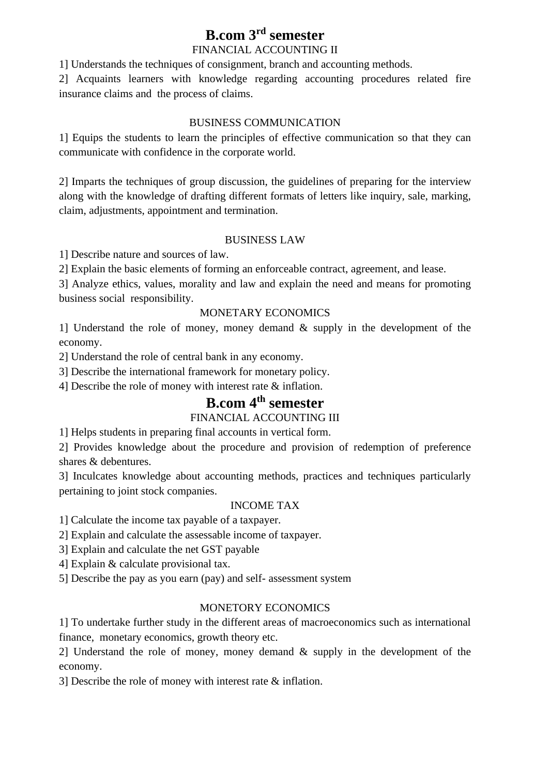# **B.com 3rd semester**

# FINANCIAL ACCOUNTING II

1] Understands the techniques of consignment, branch and accounting methods.

2] Acquaints learners with knowledge regarding accounting procedures related fire insurance claims and the process of claims.

### BUSINESS COMMUNICATION

1] Equips the students to learn the principles of effective communication so that they can communicate with confidence in the corporate world.

2] Imparts the techniques of group discussion, the guidelines of preparing for the interview along with the knowledge of drafting different formats of letters like inquiry, sale, marking, claim, adjustments, appointment and termination.

# BUSINESS LAW

1] Describe nature and sources of law.

2] Explain the basic elements of forming an enforceable contract, agreement, and lease.

3] Analyze ethics, values, morality and law and explain the need and means for promoting business social responsibility.

# MONETARY ECONOMICS

1] Understand the role of money, money demand & supply in the development of the economy.

2] Understand the role of central bank in any economy.

3] Describe the international framework for monetary policy.

4] Describe the role of money with interest rate & inflation.

# **B.com 4th semester**

# FINANCIAL ACCOUNTING III

1] Helps students in preparing final accounts in vertical form.

2] Provides knowledge about the procedure and provision of redemption of preference shares & debentures.

3] Inculcates knowledge about accounting methods, practices and techniques particularly pertaining to joint stock companies.

# INCOME TAX

1] Calculate the income tax payable of a taxpayer.

2] Explain and calculate the assessable income of taxpayer.

3] Explain and calculate the net GST payable

4] Explain & calculate provisional tax.

5] Describe the pay as you earn (pay) and self- assessment system

# MONETORY ECONOMICS

1] To undertake further study in the different areas of macroeconomics such as international finance, monetary economics, growth theory etc.

2] Understand the role of money, money demand & supply in the development of the economy.

3] Describe the role of money with interest rate & inflation.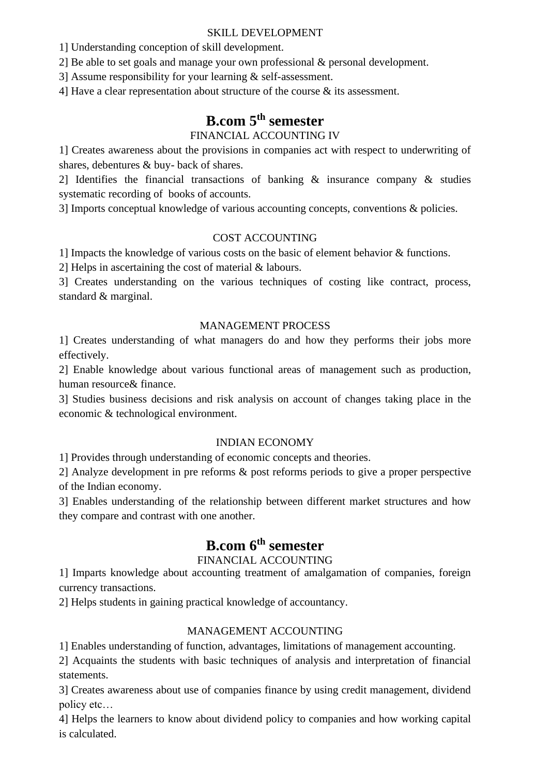### SKILL DEVELOPMENT

1] Understanding conception of skill development.

2] Be able to set goals and manage your own professional & personal development.

3] Assume responsibility for your learning & self-assessment.

4] Have a clear representation about structure of the course & its assessment.

# **B.com 5th semester**

# FINANCIAL ACCOUNTING IV

1] Creates awareness about the provisions in companies act with respect to underwriting of shares, debentures & buy- back of shares.

2] Identifies the financial transactions of banking & insurance company & studies systematic recording of books of accounts.

3] Imports conceptual knowledge of various accounting concepts, conventions & policies.

# COST ACCOUNTING

1] Impacts the knowledge of various costs on the basic of element behavior & functions.

2] Helps in ascertaining the cost of material & labours.

3] Creates understanding on the various techniques of costing like contract, process, standard & marginal.

# MANAGEMENT PROCESS

1] Creates understanding of what managers do and how they performs their jobs more effectively.

2] Enable knowledge about various functional areas of management such as production, human resource& finance.

3] Studies business decisions and risk analysis on account of changes taking place in the economic & technological environment.

# INDIAN ECONOMY

1] Provides through understanding of economic concepts and theories.

2] Analyze development in pre reforms & post reforms periods to give a proper perspective of the Indian economy.

3] Enables understanding of the relationship between different market structures and how they compare and contrast with one another.

# **B.com 6th semester**

# FINANCIAL ACCOUNTING

1] Imparts knowledge about accounting treatment of amalgamation of companies, foreign currency transactions.

2] Helps students in gaining practical knowledge of accountancy.

# MANAGEMENT ACCOUNTING

1] Enables understanding of function, advantages, limitations of management accounting.

2] Acquaints the students with basic techniques of analysis and interpretation of financial statements.

3] Creates awareness about use of companies finance by using credit management, dividend policy etc…

4] Helps the learners to know about dividend policy to companies and how working capital is calculated.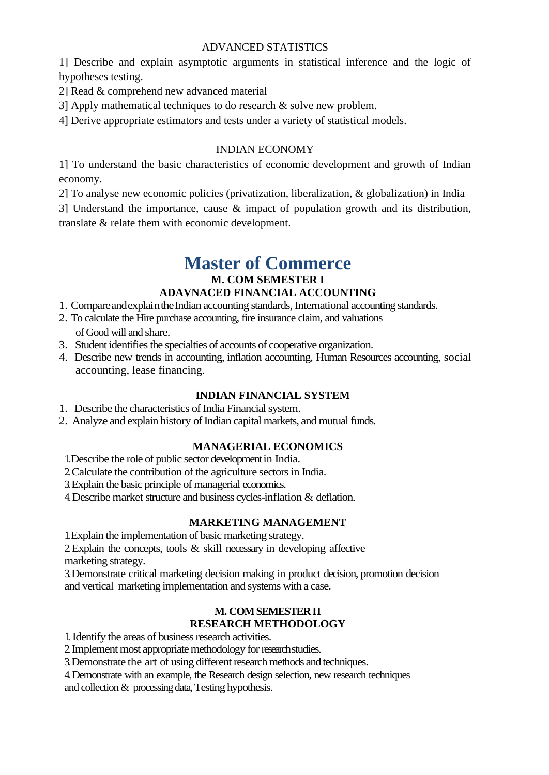# ADVANCED STATISTICS

1] Describe and explain asymptotic arguments in statistical inference and the logic of hypotheses testing.

- 2] Read & comprehend new advanced material
- 3] Apply mathematical techniques to do research & solve new problem.

4] Derive appropriate estimators and tests under a variety of statistical models.

### INDIAN ECONOMY

1] To understand the basic characteristics of economic development and growth of Indian economy.

2] To analyse new economic policies (privatization, liberalization, & globalization) in India

3] Understand the importance, cause & impact of population growth and its distribution, translate & relate them with economic development.

# **Master of Commerce M. COM SEMESTER I**

# **ADAVNACED FINANCIAL ACCOUNTING**

- 1. Compare and explain the Indian accounting standards, International accounting standards.
- 2. To calculate the Hire purchase accounting, fire insurance claim, and valuations of Good will and share.
- 3. Student identifies the specialties of accounts of cooperative organization.
- 4. Describe new trends in accounting, inflation accounting, Human Resources accounting, social accounting, lease financing.

# **INDIAN FINANCIAL SYSTEM**

- 1. Describe the characteristics of India Financial system.
- 2. Analyze and explain history of Indian capital markets, and mutual funds.

# **MANAGERIAL ECONOMICS**

1.Describe the role of public sector developmentin India.

- 2.Calculate the contribution of the agriculture sectorsin India.
- 3. Explain the basic principle of managerial economics.
- 4. Describe market structure and business cycles-inflation  $\&$  deflation.

#### **MARKETING MANAGEMENT**

1.Explain the implementation of basic marketing strategy.

2.Explain the concepts, tools & skill necessary in developing affective marketing strategy.

3.Demonstrate critical marketing decision making in product decision, promotion decision and vertical marketing implementation and systems with a case.

# **M. COM SEMESTER II RESEARCH METHODOLOGY**

1. Identify the areas of business research activities.

2. Implement most appropriate methodology for research studies.

3. Demonstrate the art of using different research methods and techniques.

4. Demonstrate with an example, the Research design selection, new research techniques and collection& processing data, Testing hypothesis.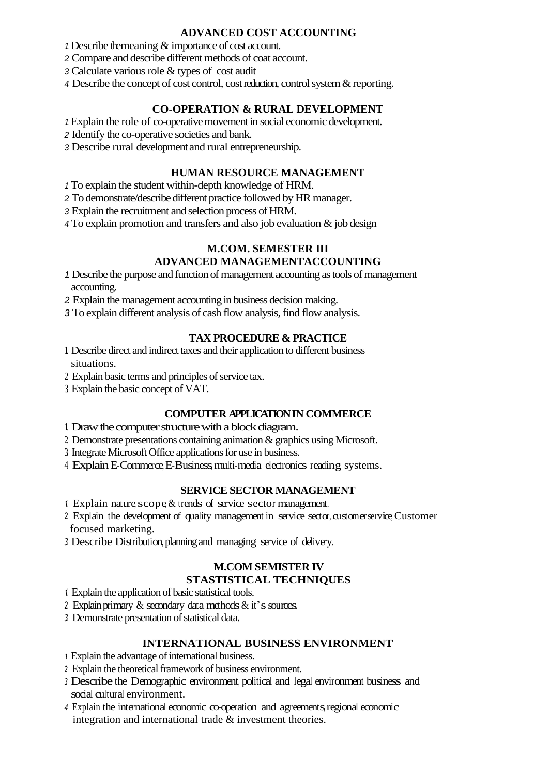### **ADVANCED COST ACCOUNTING**

*1.*Describe themeaning & importance of cost account.

*2.* Compare and describe different methods of coat account.

*3.* Calculate various role & types of cost audit

*4.* Describe the concept of cost control, costreduction, controlsystem&reporting.

# **CO-OPERATION & RURAL DEVELOPMENT**

*1.*Explain the role of co-operativemovement in social economic development.

*2.* Identify the co-operative societies and bank.

*3.* Describe rural developmentand rural entrepreneurship.

# **HUMAN RESOURCE MANAGEMENT**

*1.*To explain the student within-depth knowledge of HRM.

*2.* To demonstrate/describe different practice followed by HRmanager.

*3.* Explain the recruitment and selection process of HRM.

*4.* To explain promotion and transfers and also job evaluation & job design

# **M.COM. SEMESTER III ADVANCED MANAGEMENTACCOUNTING**

1. Describe the purpose and function of management accounting as tools of management accounting.

2. Explain the management accounting in business decision making.

*3.* To explain different analysis of cash flow analysis, find flow analysis.

# **TAX PROCEDURE & PRACTICE**

- 1. Describe direct and indirect taxes and their application to different business situations.
- 2. Explain basic terms and principles of service tax.
- 3. Explain the basic concept of VAT.

# **COMPUTER APPLICATION IN COMMERCE**

- 1. Draw the computer structure with a block diagram.
- 2. Demonstrate presentations containing animation& graphics using Microsoft.
- 3 Integrate Microsoft Office applications for use in business.
- 4. Explain E-Commerce, E-Business, multi-media electronics reading systems.

# **SERVICE SECTOR MANAGEMENT**

- 1. Explain nature, scope & trends of service sector management.
- 2. Explain the development of quality management in service sector, customerservice, Customer focused marketing.
- *3.* Describe Distribution, planningand managing service of delivery.

# **M.COM SEMISTER I V**

# **STASTISTICAL TECHNIQUES**

- *1.* Explain the application of basic statistical tools.
- 2. Explain primary & secondary data, methods, & it's sources.
- 3 Demonstrate presentation of statistical data.

# **INTERNATIONAL BUSINESS ENVIRONMENT**

- *1.* Explain the advantage of international business.
- *2.* Explain the theoretical framework of business environment.
- *3.* Describe the Demographic environment, political and legal environment business and social cultural environment.
- *4.* Explain the international economic co-operation and agreements, regional economic integration and international trade & investment theories.